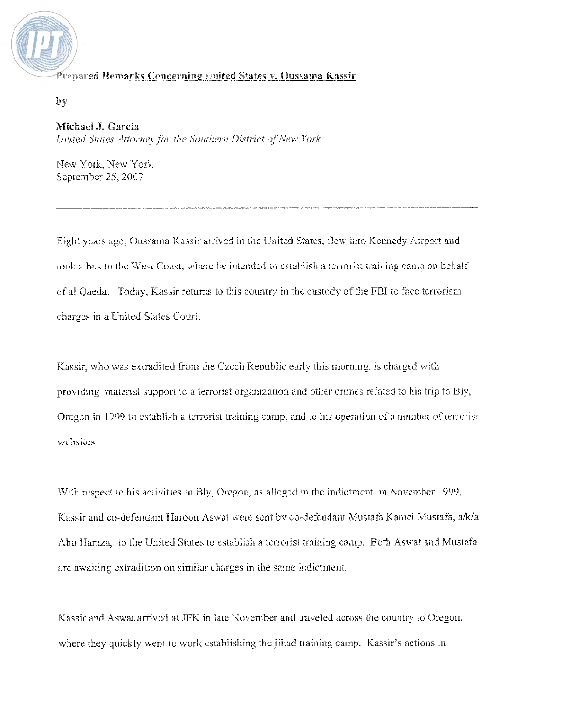

by

## Michael J. Garcia

United States Attorney for the Southern District of New York

New York, New York September 25, 2007

Eight years ago, Oussama Kassir arrived in the United States, flew into Kennedy Airport and took a bus to the West Coast, where he intended to establish a terrorist training camp on behalf of al Qaeda. Today, Kassir returns to this country in the custody of the FBI to face terrorism charges in a United States Court.

Kassir, who was extradited from the Czech Republic early this morning, is charged with providing material support to a terrorist organization and other crimes related to his trip to Bly, Oregon in 1999 to establish a terrorist training camp, and to his operation of a number of terrorist websites.

With respect to his activities in Bly, Oregon, as alleged in the indictment, in November 1999, Kassir and co-defendant Haroon Aswat were sent by co-defendant Mustafa Kamel Mustafa, a/k/a Abu Hamza, to the United States to establish a terrorist training camp. Both Aswat and Mustafa are awaiting extradition on similar charges in the same indictment.

Kassir and Aswat arrived at JFK in late November and traveled across the country to Oregon, where they quickly went to work establishing the jihad training camp. Kassir's actions in